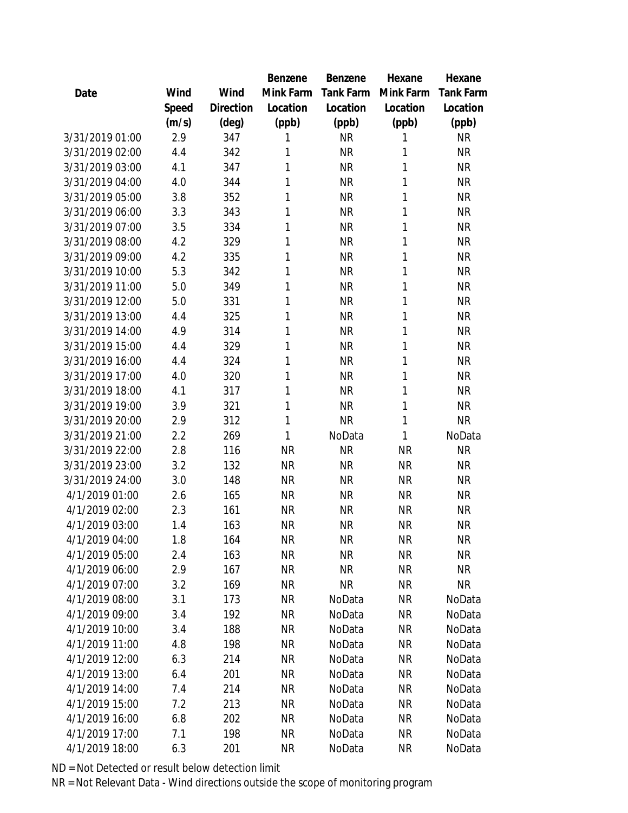|                 |       |           | Benzene   | Benzene   | Hexane       | Hexane    |
|-----------------|-------|-----------|-----------|-----------|--------------|-----------|
| Date            | Wind  | Wind      | Mink Farm | Tank Farm | Mink Farm    | Tank Farm |
|                 | Speed | Direction | Location  | Location  | Location     | Location  |
|                 | (m/s) | (deg)     | (ppb)     | (ppb)     | (ppb)        | (ppb)     |
| 3/31/2019 01:00 | 2.9   | 347       | 1         | <b>NR</b> | 1            | <b>NR</b> |
| 3/31/2019 02:00 | 4.4   | 342       | 1         | <b>NR</b> | 1            | <b>NR</b> |
| 3/31/2019 03:00 | 4.1   | 347       | 1         | <b>NR</b> | 1            | <b>NR</b> |
| 3/31/2019 04:00 | 4.0   | 344       | 1         | <b>NR</b> | 1            | <b>NR</b> |
| 3/31/2019 05:00 | 3.8   | 352       | 1         | <b>NR</b> | 1            | <b>NR</b> |
| 3/31/2019 06:00 | 3.3   | 343       | 1         | <b>NR</b> | 1            | <b>NR</b> |
| 3/31/2019 07:00 | 3.5   | 334       | 1         | <b>NR</b> | 1            | <b>NR</b> |
| 3/31/2019 08:00 | 4.2   | 329       | 1         | <b>NR</b> | 1            | <b>NR</b> |
| 3/31/2019 09:00 | 4.2   | 335       | 1         | <b>NR</b> | 1            | <b>NR</b> |
| 3/31/2019 10:00 | 5.3   | 342       | 1         | <b>NR</b> | 1            | <b>NR</b> |
| 3/31/2019 11:00 | 5.0   | 349       | 1         | <b>NR</b> | 1            | <b>NR</b> |
| 3/31/2019 12:00 | 5.0   | 331       | 1         | <b>NR</b> | 1            | <b>NR</b> |
| 3/31/2019 13:00 | 4.4   | 325       | 1         | <b>NR</b> | 1            | <b>NR</b> |
| 3/31/2019 14:00 | 4.9   | 314       | 1         | <b>NR</b> | 1            | <b>NR</b> |
| 3/31/2019 15:00 | 4.4   | 329       | 1         | <b>NR</b> | 1            | <b>NR</b> |
| 3/31/2019 16:00 | 4.4   | 324       | 1         | <b>NR</b> | 1            | <b>NR</b> |
| 3/31/2019 17:00 | 4.0   | 320       | 1         | <b>NR</b> | 1            | <b>NR</b> |
| 3/31/2019 18:00 | 4.1   | 317       | 1         | <b>NR</b> | 1            | <b>NR</b> |
| 3/31/2019 19:00 | 3.9   | 321       | 1         | <b>NR</b> | 1            | <b>NR</b> |
| 3/31/2019 20:00 | 2.9   | 312       | 1         | <b>NR</b> | 1            | <b>NR</b> |
| 3/31/2019 21:00 | 2.2   | 269       | 1         | NoData    | $\mathbf{1}$ | NoData    |
| 3/31/2019 22:00 | 2.8   | 116       | <b>NR</b> | <b>NR</b> | <b>NR</b>    | <b>NR</b> |
| 3/31/2019 23:00 | 3.2   | 132       | <b>NR</b> | <b>NR</b> | <b>NR</b>    | <b>NR</b> |
| 3/31/2019 24:00 | 3.0   | 148       | <b>NR</b> | <b>NR</b> | <b>NR</b>    | <b>NR</b> |
| 4/1/2019 01:00  | 2.6   | 165       | <b>NR</b> | <b>NR</b> | <b>NR</b>    | <b>NR</b> |
| 4/1/2019 02:00  | 2.3   | 161       | <b>NR</b> | <b>NR</b> | <b>NR</b>    | <b>NR</b> |
| 4/1/2019 03:00  | 1.4   | 163       | <b>NR</b> | <b>NR</b> | <b>NR</b>    | <b>NR</b> |
| 4/1/2019 04:00  | 1.8   | 164       | ΝR        | <b>NR</b> | <b>NR</b>    | <b>NR</b> |
| 4/1/2019 05:00  | 2.4   | 163       | <b>NR</b> | <b>NR</b> | <b>NR</b>    | <b>NR</b> |
| 4/1/2019 06:00  | 2.9   | 167       | <b>NR</b> | <b>NR</b> | <b>NR</b>    | <b>NR</b> |
| 4/1/2019 07:00  | 3.2   | 169       | <b>NR</b> | <b>NR</b> | NR           | <b>NR</b> |
| 4/1/2019 08:00  | 3.1   | 173       | <b>NR</b> | NoData    | <b>NR</b>    | NoData    |
| 4/1/2019 09:00  | 3.4   | 192       | <b>NR</b> | NoData    | <b>NR</b>    | NoData    |
| 4/1/2019 10:00  | 3.4   | 188       | NR        | NoData    | <b>NR</b>    | NoData    |
| 4/1/2019 11:00  | 4.8   | 198       | NR.       | NoData    | NR           | NoData    |
| 4/1/2019 12:00  | 6.3   | 214       | NR        | NoData    | NR           | NoData    |
| 4/1/2019 13:00  | 6.4   | 201       | <b>NR</b> | NoData    | <b>NR</b>    | NoData    |
| 4/1/2019 14:00  | 7.4   | 214       | <b>NR</b> | NoData    | <b>NR</b>    | NoData    |
| 4/1/2019 15:00  | 7.2   | 213       | <b>NR</b> | NoData    | NR           | NoData    |
| 4/1/2019 16:00  | 6.8   | 202       | NR        | NoData    | NR.          | NoData    |
| 4/1/2019 17:00  | 7.1   | 198       | <b>NR</b> | NoData    | <b>NR</b>    | NoData    |
| 4/1/2019 18:00  | 6.3   | 201       | NR.       | NoData    | <b>NR</b>    | NoData    |
|                 |       |           |           |           |              |           |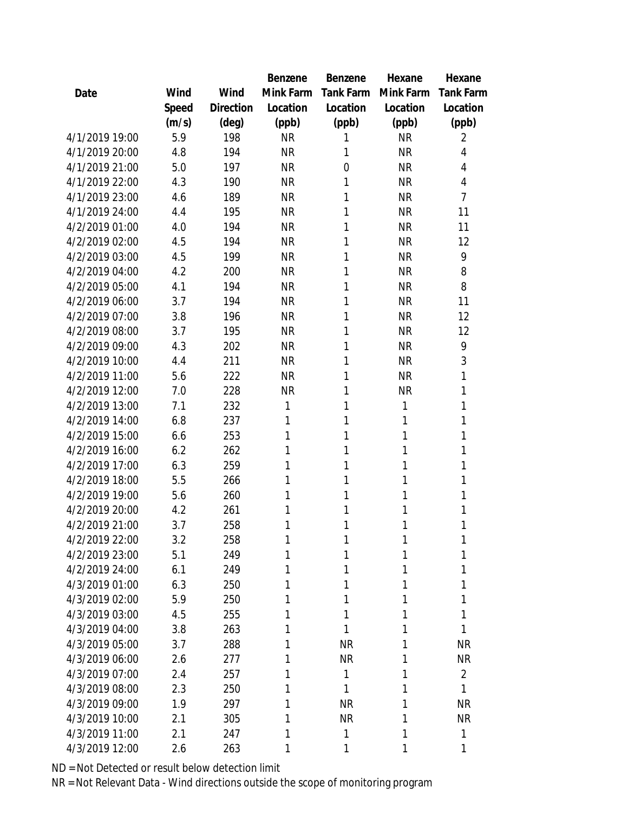|                |       |           | <b>Benzene</b> | Benzene   | Hexane       | Hexane           |
|----------------|-------|-----------|----------------|-----------|--------------|------------------|
| Date           | Wind  | Wind      | Mink Farm      | Tank Farm | Mink Farm    | <b>Tank Farm</b> |
|                | Speed | Direction | Location       | Location  | Location     | Location         |
|                | (m/s) | (deg)     | (ppb)          | (ppb)     | (ppb)        | (ppb)            |
| 4/1/2019 19:00 | 5.9   | 198       | <b>NR</b>      | 1         | <b>NR</b>    | $\overline{2}$   |
| 4/1/2019 20:00 | 4.8   | 194       | <b>NR</b>      | 1         | <b>NR</b>    | 4                |
| 4/1/2019 21:00 | 5.0   | 197       | <b>NR</b>      | 0         | <b>NR</b>    | 4                |
| 4/1/2019 22:00 | 4.3   | 190       | <b>NR</b>      | 1         | <b>NR</b>    | 4                |
| 4/1/2019 23:00 | 4.6   | 189       | <b>NR</b>      | 1         | <b>NR</b>    | $\overline{7}$   |
| 4/1/2019 24:00 | 4.4   | 195       | <b>NR</b>      | 1         | <b>NR</b>    | 11               |
| 4/2/2019 01:00 | 4.0   | 194       | <b>NR</b>      | 1         | <b>NR</b>    | 11               |
| 4/2/2019 02:00 | 4.5   | 194       | <b>NR</b>      | 1         | <b>NR</b>    | 12               |
| 4/2/2019 03:00 | 4.5   | 199       | <b>NR</b>      | 1         | <b>NR</b>    | 9                |
| 4/2/2019 04:00 | 4.2   | 200       | <b>NR</b>      | 1         | <b>NR</b>    | 8                |
| 4/2/2019 05:00 | 4.1   | 194       | <b>NR</b>      | 1         | <b>NR</b>    | 8                |
| 4/2/2019 06:00 | 3.7   | 194       | <b>NR</b>      | 1         | <b>NR</b>    | 11               |
| 4/2/2019 07:00 | 3.8   | 196       | <b>NR</b>      | 1         | <b>NR</b>    | 12               |
| 4/2/2019 08:00 | 3.7   | 195       | <b>NR</b>      | 1         | <b>NR</b>    | 12               |
| 4/2/2019 09:00 | 4.3   | 202       | <b>NR</b>      | 1         | <b>NR</b>    | 9                |
| 4/2/2019 10:00 | 4.4   | 211       | <b>NR</b>      | 1         | <b>NR</b>    | 3                |
| 4/2/2019 11:00 | 5.6   | 222       | <b>NR</b>      | 1         | <b>NR</b>    | 1                |
| 4/2/2019 12:00 | 7.0   | 228       | <b>NR</b>      | 1         | <b>NR</b>    | 1                |
| 4/2/2019 13:00 | 7.1   | 232       | 1              | 1         | $\mathbf{1}$ | 1                |
| 4/2/2019 14:00 | 6.8   | 237       | 1              | 1         | 1            | 1                |
| 4/2/2019 15:00 | 6.6   | 253       | 1              | 1         | 1            | 1                |
| 4/2/2019 16:00 | 6.2   | 262       | 1              | 1         | 1            | 1                |
| 4/2/2019 17:00 | 6.3   | 259       | 1              | 1         | 1            | 1                |
| 4/2/2019 18:00 | 5.5   | 266       | 1              | 1         | 1            | 1                |
| 4/2/2019 19:00 | 5.6   | 260       | 1              | 1         | 1            | 1                |
| 4/2/2019 20:00 | 4.2   | 261       | 1              | 1         | 1            | 1                |
| 4/2/2019 21:00 | 3.7   | 258       | 1              | 1         | 1            | 1                |
| 4/2/2019 22:00 | 3.2   | 258       | 1              | 1         | 1            | Τ                |
| 4/2/2019 23:00 | 5.1   | 249       | 1              | 1         | 1            |                  |
| 4/2/2019 24:00 | 6.1   | 249       | 1              | 1         | 1            |                  |
| 4/3/2019 01:00 | 6.3   | 250       | 1              | 1         | 1            | 1                |
| 4/3/2019 02:00 | 5.9   | 250       | 1              | 1         | 1            | 1                |
| 4/3/2019 03:00 | 4.5   | 255       | 1              | 1         | 1            | 1                |
| 4/3/2019 04:00 | 3.8   | 263       | 1              | 1         | 1            | 1                |
| 4/3/2019 05:00 | 3.7   | 288       | 1              | <b>NR</b> | 1            | <b>NR</b>        |
| 4/3/2019 06:00 | 2.6   | 277       | 1              | <b>NR</b> | 1            | <b>NR</b>        |
| 4/3/2019 07:00 | 2.4   | 257       | 1              | 1         | 1            | $\overline{2}$   |
| 4/3/2019 08:00 | 2.3   | 250       | 1              | 1         | 1            | 1                |
| 4/3/2019 09:00 | 1.9   | 297       | 1              | <b>NR</b> | 1            | <b>NR</b>        |
| 4/3/2019 10:00 | 2.1   | 305       | 1              | <b>NR</b> | 1            | <b>NR</b>        |
| 4/3/2019 11:00 | 2.1   | 247       | 1              |           |              | 1                |
|                |       |           |                | 1         | 1            |                  |
| 4/3/2019 12:00 | 2.6   | 263       | 1              | 1         | 1            | 1                |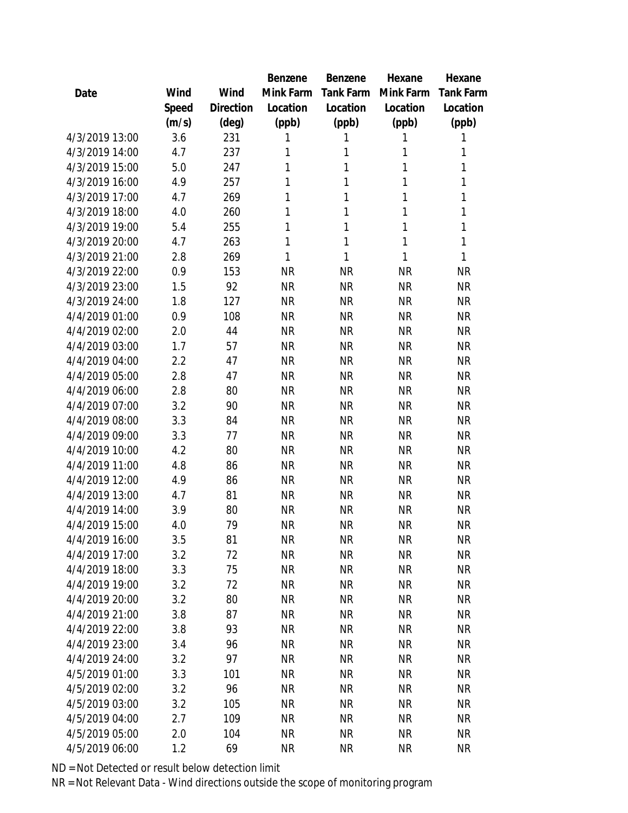|                |       |           | Benzene   | Benzene      | Hexane    | Hexane      |
|----------------|-------|-----------|-----------|--------------|-----------|-------------|
| Date           | Wind  | Wind      | Mink Farm | Tank Farm    | Mink Farm | Tank Farm   |
|                | Speed | Direction | Location  | Location     | Location  | Location    |
|                | (m/s) | (deg)     | (ppb)     | (ppb)        | (ppb)     | (ppb)       |
| 4/3/2019 13:00 | 3.6   | 231       | 1         | 1            | 1         | 1           |
| 4/3/2019 14:00 | 4.7   | 237       | 1         | 1            | 1         | 1           |
| 4/3/2019 15:00 | 5.0   | 247       | 1         | 1            | 1         | 1           |
| 4/3/2019 16:00 | 4.9   | 257       | 1         | $\mathbf{1}$ | 1         | $\mathbf 1$ |
| 4/3/2019 17:00 | 4.7   | 269       | 1         | 1            | 1         | $\mathbf 1$ |
| 4/3/2019 18:00 | 4.0   | 260       | 1         | 1            | 1         | $\mathbf 1$ |
| 4/3/2019 19:00 | 5.4   | 255       | 1         | $\mathbf{1}$ | 1         | $\mathbf 1$ |
| 4/3/2019 20:00 | 4.7   | 263       | 1         | $\mathbf{1}$ | 1         | $\mathbf 1$ |
| 4/3/2019 21:00 | 2.8   | 269       | 1         | $\mathbf{1}$ | 1         | 1           |
| 4/3/2019 22:00 | 0.9   | 153       | <b>NR</b> | <b>NR</b>    | <b>NR</b> | <b>NR</b>   |
| 4/3/2019 23:00 | 1.5   | 92        | <b>NR</b> | <b>NR</b>    | <b>NR</b> | <b>NR</b>   |
| 4/3/2019 24:00 | 1.8   | 127       | <b>NR</b> | <b>NR</b>    | <b>NR</b> | <b>NR</b>   |
| 4/4/2019 01:00 | 0.9   | 108       | <b>NR</b> | <b>NR</b>    | <b>NR</b> | <b>NR</b>   |
| 4/4/2019 02:00 | 2.0   | 44        | <b>NR</b> | <b>NR</b>    | <b>NR</b> | <b>NR</b>   |
| 4/4/2019 03:00 | 1.7   | 57        | <b>NR</b> | <b>NR</b>    | <b>NR</b> | <b>NR</b>   |
| 4/4/2019 04:00 | 2.2   | 47        | <b>NR</b> | <b>NR</b>    | <b>NR</b> | <b>NR</b>   |
| 4/4/2019 05:00 | 2.8   | 47        | <b>NR</b> | <b>NR</b>    | <b>NR</b> | <b>NR</b>   |
| 4/4/2019 06:00 | 2.8   | 80        | <b>NR</b> | <b>NR</b>    | <b>NR</b> | <b>NR</b>   |
| 4/4/2019 07:00 | 3.2   | 90        | <b>NR</b> | <b>NR</b>    | <b>NR</b> | <b>NR</b>   |
| 4/4/2019 08:00 | 3.3   | 84        | <b>NR</b> | <b>NR</b>    | <b>NR</b> | <b>NR</b>   |
| 4/4/2019 09:00 | 3.3   | 77        | <b>NR</b> | <b>NR</b>    | <b>NR</b> | <b>NR</b>   |
| 4/4/2019 10:00 | 4.2   | 80        | <b>NR</b> | <b>NR</b>    | <b>NR</b> | <b>NR</b>   |
| 4/4/2019 11:00 | 4.8   | 86        | <b>NR</b> | <b>NR</b>    | <b>NR</b> | <b>NR</b>   |
| 4/4/2019 12:00 | 4.9   | 86        | <b>NR</b> | <b>NR</b>    | <b>NR</b> | <b>NR</b>   |
| 4/4/2019 13:00 | 4.7   | 81        | <b>NR</b> | <b>NR</b>    | <b>NR</b> | <b>NR</b>   |
| 4/4/2019 14:00 | 3.9   | 80        | <b>NR</b> | <b>NR</b>    | <b>NR</b> | <b>NR</b>   |
| 4/4/2019 15:00 | 4.0   | 79        | <b>NR</b> | <b>NR</b>    | <b>NR</b> | <b>NR</b>   |
| 4/4/2019 16:00 | 3.5   | 81        | <b>NR</b> | <b>NR</b>    | ΝR        | <b>NR</b>   |
| 4/4/2019 17:00 | 3.2   | 72        | <b>NR</b> | <b>NR</b>    | ΝR        | <b>NR</b>   |
| 4/4/2019 18:00 | 3.3   | 75        | <b>NR</b> | <b>NR</b>    | <b>NR</b> | <b>NR</b>   |
| 4/4/2019 19:00 | 3.2   | 72        | <b>NR</b> | <b>NR</b>    | <b>NR</b> | <b>NR</b>   |
| 4/4/2019 20:00 | 3.2   | 80        | <b>NR</b> | <b>NR</b>    | <b>NR</b> | <b>NR</b>   |
| 4/4/2019 21:00 | 3.8   | 87        | <b>NR</b> | <b>NR</b>    | <b>NR</b> | <b>NR</b>   |
| 4/4/2019 22:00 | 3.8   | 93        | <b>NR</b> | <b>NR</b>    | <b>NR</b> | <b>NR</b>   |
| 4/4/2019 23:00 | 3.4   | 96        | <b>NR</b> | <b>NR</b>    | <b>NR</b> | <b>NR</b>   |
| 4/4/2019 24:00 | 3.2   | 97        | <b>NR</b> | <b>NR</b>    | <b>NR</b> | <b>NR</b>   |
| 4/5/2019 01:00 | 3.3   | 101       | <b>NR</b> | <b>NR</b>    | <b>NR</b> | <b>NR</b>   |
| 4/5/2019 02:00 | 3.2   | 96        | <b>NR</b> | <b>NR</b>    | <b>NR</b> | <b>NR</b>   |
| 4/5/2019 03:00 | 3.2   | 105       | <b>NR</b> | <b>NR</b>    | <b>NR</b> | <b>NR</b>   |
| 4/5/2019 04:00 | 2.7   | 109       | <b>NR</b> | <b>NR</b>    | <b>NR</b> | <b>NR</b>   |
| 4/5/2019 05:00 | 2.0   | 104       | <b>NR</b> | <b>NR</b>    | <b>NR</b> | <b>NR</b>   |
| 4/5/2019 06:00 | 1.2   | 69        | <b>NR</b> | <b>NR</b>    | <b>NR</b> | <b>NR</b>   |